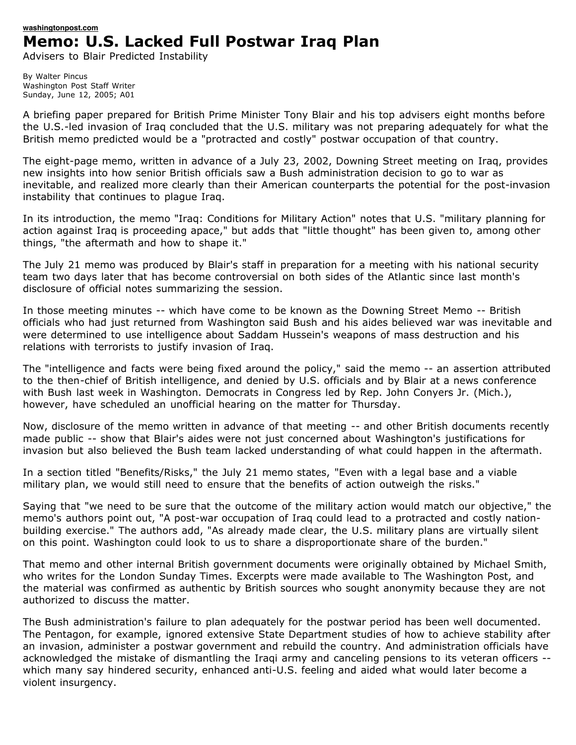## **[washingtonpost.com](http://www.washingtonpost.com/) Memo: U.S. Lacked Full Postwar Iraq Plan**

Advisers to Blair Predicted Instability

By Walter Pincus Washington Post Staff Writer Sunday, June 12, 2005; A01

A briefing paper prepared for British Prime Minister Tony Blair and his top advisers eight months before the U.S.-led invasion of Iraq concluded that the U.S. military was not preparing adequately for what the British memo predicted would be a "protracted and costly" postwar occupation of that country.

The eight-page memo, written in advance of a July 23, 2002, Downing Street meeting on Iraq, provides new insights into how senior British officials saw a Bush administration decision to go to war as inevitable, and realized more clearly than their American counterparts the potential for the post-invasion instability that continues to plague Iraq.

In its introduction, the memo "Iraq: Conditions for Military Action" notes that U.S. "military planning for action against Iraq is proceeding apace," but adds that "little thought" has been given to, among other things, "the aftermath and how to shape it."

The July 21 memo was produced by Blair's staff in preparation for a meeting with his national security team two days later that has become controversial on both sides of the Atlantic since last month's disclosure of official notes summarizing the session.

In those meeting minutes -- which have come to be known as the Downing Street Memo -- British officials who had just returned from Washington said Bush and his aides believed war was inevitable and were determined to use intelligence about Saddam Hussein's weapons of mass destruction and his relations with terrorists to justify invasion of Iraq.

The "intelligence and facts were being fixed around the policy," said the memo -- an assertion attributed to the then-chief of British intelligence, and denied by U.S. officials and by Blair at a news conference with Bush last week in Washington. Democrats in Congress led by Rep. John Conyers Jr. (Mich.), however, have scheduled an unofficial hearing on the matter for Thursday.

Now, disclosure of the memo written in advance of that meeting -- and other British documents recently made public -- show that Blair's aides were not just concerned about Washington's justifications for invasion but also believed the Bush team lacked understanding of what could happen in the aftermath.

In a section titled "Benefits/Risks," the July 21 memo states, "Even with a legal base and a viable military plan, we would still need to ensure that the benefits of action outweigh the risks."

Saying that "we need to be sure that the outcome of the military action would match our objective," the memo's authors point out, "A post-war occupation of Iraq could lead to a protracted and costly nationbuilding exercise." The authors add, "As already made clear, the U.S. military plans are virtually silent on this point. Washington could look to us to share a disproportionate share of the burden."

That memo and other internal British government documents were originally obtained by Michael Smith, who writes for the London Sunday Times. Excerpts were made available to The Washington Post, and the material was confirmed as authentic by British sources who sought anonymity because they are not authorized to discuss the matter.

The Bush administration's failure to plan adequately for the postwar period has been well documented. The Pentagon, for example, ignored extensive State Department studies of how to achieve stability after an invasion, administer a postwar government and rebuild the country. And administration officials have acknowledged the mistake of dismantling the Iraqi army and canceling pensions to its veteran officers - which many say hindered security, enhanced anti-U.S. feeling and aided what would later become a violent insurgency.